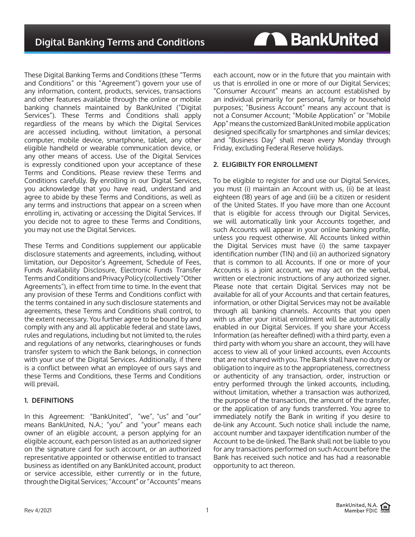**AN BankUnited** 

These Digital Banking Terms and Conditions (these "Terms and Conditions" or this "Agreement") govern your use of any information, content, products, services, transactions and other features available through the online or mobile banking channels maintained by BankUnited ("Digital Services"). These Terms and Conditions shall apply regardless of the means by which the Digital Services are accessed including, without limitation, a personal computer, mobile device, smartphone, tablet, any other eligible handheld or wearable communication device, or any other means of access. Use of the Digital Services is expressly conditioned upon your acceptance of these Terms and Conditions. Please review these Terms and Conditions carefully. By enrolling in our Digital Services, you acknowledge that you have read, understand and agree to abide by these Terms and Conditions, as well as any terms and instructions that appear on a screen when enrolling in, activating or accessing the Digital Services. If you decide not to agree to these Terms and Conditions, you may not use the Digital Services.

These Terms and Conditions supplement our applicable disclosure statements and agreements, including, without limitation, our Depositor's Agreement, Schedule of Fees, Funds Availability Disclosure, Electronic Funds Transfer Terms and Conditions and Privacy Policy (collectively "Other Agreements"), in effect from time to time. In the event that any provision of these Terms and Conditions conflict with the terms contained in any such disclosure statements and agreements, these Terms and Conditions shall control, to the extent necessary. You further agree to be bound by and comply with any and all applicable federal and state laws, rules and regulations, including but not limited to, the rules and regulations of any networks, clearinghouses or funds transfer system to which the Bank belongs, in connection with your use of the Digital Services. Additionally, if there is a conflict between what an employee of ours says and these Terms and Conditions, these Terms and Conditions will prevail.

### **1. DEFINITIONS**

In this Agreement: "BankUnited", "we", "us" and "our" means BankUnited, N.A.; "you" and "your" means each owner of an eligible account, a person applying for an eligible account, each person listed as an authorized signer on the signature card for such account, or an authorized representative appointed or otherwise entitled to transact business as identified on any BankUnited account, product or service accessible, either currently or in the future, through the Digital Services; "Account" or "Accounts" means

each account, now or in the future that you maintain with us that is enrolled in one or more of our Digital Services; "Consumer Account" means an account established by an individual primarily for personal, family or household purposes; "Business Account" means any account that is not a Consumer Account; "Mobile Application" or "Mobile App" means the customized BankUnited mobile application designed specifically for smartphones and similar devices; and "Business Day" shall mean every Monday through Friday, excluding Federal Reserve holidays.

## **2. ELIGIBILTY FOR ENROLLMENT**

To be eligible to register for and use our Digital Services, you must (i) maintain an Account with us, (ii) be at least eighteen (18) years of age and (iii) be a citizen or resident of the United States. If you have more than one Account that is eligible for access through our Digital Services, we will automatically link your Accounts together, and such Accounts will appear in your online banking profile, unless you request otherwise. All Accounts linked within the Digital Services must have (i) the same taxpayer identification number (TIN) and (ii) an authorized signatory that is common to all Accounts. If one or more of your Accounts is a joint account, we may act on the verbal, written or electronic instructions of any authorized signer. Please note that certain Digital Services may not be available for all of your Accounts and that certain features, information, or other Digital Services may not be available through all banking channels. Accounts that you open with us after your initial enrollment will be automatically enabled in our Digital Services. If you share your Access Information (as hereafter defined) with a third party, even a third party with whom you share an account, they will have access to view all of your linked accounts, even Accounts that are not shared with you. The Bank shall have no duty or obligation to inquire as to the appropriateness, correctness or authenticity of any transaction, order, instruction or entry performed through the linked accounts, including, without limitation, whether a transaction was authorized, the purpose of the transaction, the amount of the transfer, or the application of any funds transferred. You agree to immediately notify the Bank in writing if you desire to de-link any Account. Such notice shall include the name, account number and taxpayer identification number of the Account to be de-linked. The Bank shall not be liable to you for any transactions performed on such Account before the Bank has received such notice and has had a reasonable opportunity to act thereon.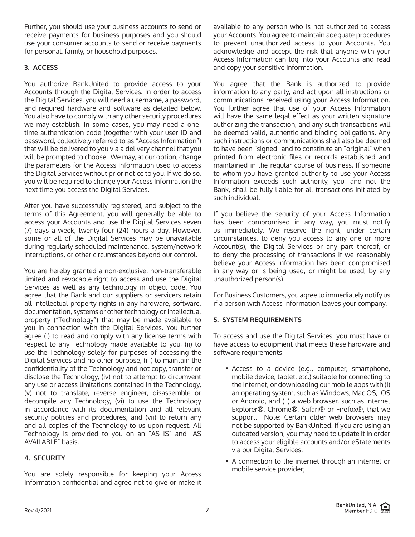Further, you should use your business accounts to send or receive payments for business purposes and you should use your consumer accounts to send or receive payments for personal, family, or household purposes.

# **3. ACCESS**

You authorize BankUnited to provide access to your Accounts through the Digital Services. In order to access the Digital Services, you will need a username, a password, and required hardware and software as detailed below. You also have to comply with any other security procedures we may establish. In some cases, you may need a onetime authentication code (together with your user ID and password, collectively referred to as "Access Information") that will be delivered to you via a delivery channel that you will be prompted to choose. We may, at our option, change the parameters for the Access Information used to access the Digital Services without prior notice to you. If we do so, you will be required to change your Access Information the next time you access the Digital Services.

After you have successfully registered, and subject to the terms of this Agreement, you will generally be able to access your Accounts and use the Digital Services seven (7) days a week, twenty-four (24) hours a day. However, some or all of the Digital Services may be unavailable during regularly scheduled maintenance, system/network interruptions, or other circumstances beyond our control.

You are hereby granted a non-exclusive, non-transferable limited and revocable right to access and use the Digital Services as well as any technology in object code. You agree that the Bank and our suppliers or servicers retain all intellectual property rights in any hardware, software, documentation, systems or other technology or intellectual property ("Technology") that may be made available to you in connection with the Digital Services. You further agree (i) to read and comply with any license terms with respect to any Technology made available to you, (ii) to use the Technology solely for purposes of accessing the Digital Services and no other purpose, (iii) to maintain the confidentiality of the Technology and not copy, transfer or disclose the Technology, (iv) not to attempt to circumvent any use or access limitations contained in the Technology, (v) not to translate, reverse engineer, disassemble or decompile any Technology, (vi) to use the Technology in accordance with its documentation and all relevant security policies and procedures, and (vii) to return any and all copies of the Technology to us upon request. All Technology is provided to you on an "AS IS" and "AS AVAILABLE" basis.

# **4. SECURITY**

You are solely responsible for keeping your Access Information confidential and agree not to give or make it available to any person who is not authorized to access your Accounts. You agree to maintain adequate procedures to prevent unauthorized access to your Accounts. You acknowledge and accept the risk that anyone with your Access Information can log into your Accounts and read and copy your sensitive information.

You agree that the Bank is authorized to provide information to any party, and act upon all instructions or communications received using your Access Information. You further agree that use of your Access Information will have the same legal effect as your written signature authorizing the transaction, and any such transactions will be deemed valid, authentic and binding obligations. Any such instructions or communications shall also be deemed to have been "signed" and to constitute an "original" when printed from electronic files or records established and maintained in the regular course of business. If someone to whom you have granted authority to use your Access Information exceeds such authority, you, and not the Bank, shall be fully liable for all transactions initiated by such individual.

If you believe the security of your Access Information has been compromised in any way, you must notify us immediately. We reserve the right, under certain circumstances, to deny you access to any one or more Account(s), the Digital Services or any part thereof, or to deny the processing of transactions if we reasonably believe your Access Information has been compromised in any way or is being used, or might be used, by any unauthorized person(s).

For Business Customers, you agree to immediately notify us if a person with Access Information leaves your company.

### **5. SYSTEM REQUIREMENTS**

To access and use the Digital Services, you must have or have access to equipment that meets these hardware and software requirements:

- Access to a device (e.g., computer, smartphone, mobile device, tablet, etc.) suitable for connecting to the internet, or downloading our mobile apps with (i) an operating system, such as Windows, Mac OS, iOS or Android, and (ii) a web browser, such as Internet Explorer®, Chrome®, Safari® or Firefox®, that we support. Note: Certain older web browsers may not be supported by BankUnited. If you are using an outdated version, you may need to update it in order to access your eligible accounts and/or eStatements via our Digital Services.
- A connection to the internet through an internet or mobile service provider;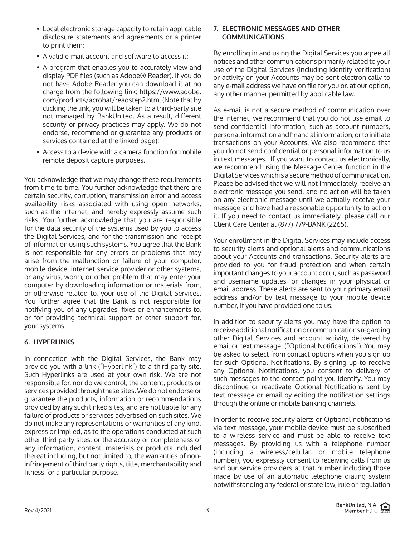- Local electronic storage capacity to retain applicable disclosure statements and agreements or a printer to print them;
- A valid e-mail account and software to access it;
- A program that enables you to accurately view and display PDF files (such as Adobe® Reader). If you do not have Adobe Reader you can download it at no charge from the following link: https://www.adobe. com/products/acrobat/readstep2.html (Note that by clicking the link, you will be taken to a third-party site not managed by BankUnited. As a result, different security or privacy practices may apply. We do not endorse, recommend or guarantee any products or services contained at the linked page);
- Access to a device with a camera function for mobile remote deposit capture purposes.

You acknowledge that we may change these requirements from time to time. You further acknowledge that there are certain security, corruption, transmission error and access availability risks associated with using open networks, such as the internet, and hereby expressly assume such risks. You further acknowledge that you are responsible for the data security of the systems used by you to access the Digital Services, and for the transmission and receipt of information using such systems. You agree that the Bank is not responsible for any errors or problems that may arise from the malfunction or failure of your computer, mobile device, internet service provider or other systems, or any virus, worm, or other problem that may enter your computer by downloading information or materials from, or otherwise related to, your use of the Digital Services. You further agree that the Bank is not responsible for notifying you of any upgrades, fixes or enhancements to, or for providing technical support or other support for, your systems.

# **6. HYPERLINKS**

In connection with the Digital Services, the Bank may provide you with a link ("Hyperlink") to a third-party site. Such Hyperlinks are used at your own risk. We are not responsible for, nor do we control, the content, products or services provided through these sites. We do not endorse or guarantee the products, information or recommendations provided by any such linked sites, and are not liable for any failure of products or services advertised on such sites. We do not make any representations or warranties of any kind, express or implied, as to the operations conducted at such other third party sites, or the accuracy or completeness of any information, content, materials or products included thereat including, but not limited to, the warranties of noninfringement of third party rights, title, merchantability and fitness for a particular purpose.

### **7. ELECTRONIC MESSAGES AND OTHER COMMUNICATIONS**

By enrolling in and using the Digital Services you agree all notices and other communications primarily related to your use of the Digital Services (including identity verification) or activity on your Accounts may be sent electronically to any e-mail address we have on file for you or, at our option, any other manner permitted by applicable law.

As e-mail is not a secure method of communication over the internet, we recommend that you do not use email to send confidential information, such as account numbers, personal information and financial information, or to initiate transactions on your Accounts. We also recommend that you do not send confidential or personal information to us in text messages. If you want to contact us electronically, we recommend using the Message Center function in the Digital Services which is a secure method of communication. Please be advised that we will not immediately receive an electronic message you send, and no action will be taken on any electronic message until we actually receive your message and have had a reasonable opportunity to act on it. If you need to contact us immediately, please call our Client Care Center at (877) 779-BANK (2265).

Your enrollment in the Digital Services may include access to security alerts and optional alerts and communications about your Accounts and transactions. Security alerts are provided to you for fraud protection and when certain important changes to your account occur, such as password and username updates, or changes in your physical or email address. These alerts are sent to your primary email address and/or by text message to your mobile device number, if you have provided one to us.

In addition to security alerts you may have the option to receive additional notification or communications regarding other Digital Services and account activity, delivered by email or text message. ("Optional Notifications"). You may be asked to select from contact options when you sign up for such Optional Notifications. By signing up to receive any Optional Notifications, you consent to delivery of such messages to the contact point you identify. You may discontinue or reactivate Optional Notifications sent by text message or email by editing the notification settings through the online or mobile banking channels.

In order to receive security alerts or Optional notifications via text message, your mobile device must be subscribed to a wireless service and must be able to receive text messages. By providing us with a telephone number (including a wireless/cellular, or mobile telephone number), you expressly consent to receiving calls from us and our service providers at that number including those made by use of an automatic telephone dialing system notwithstanding any federal or state law, rule or regulation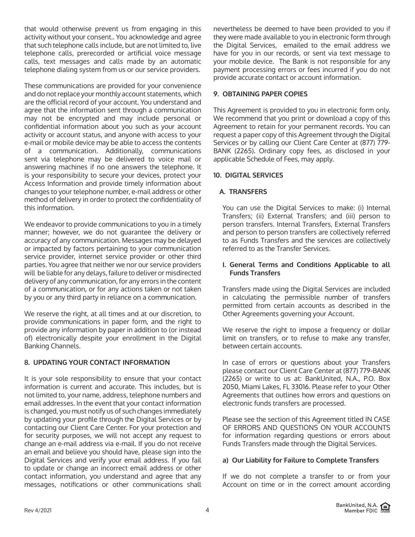that would otherwise prevent us from engaging in this activity without your consent.. You acknowledge and agree that such telephone calls include, but are not limited to, live telephone calls, prerecorded or artificial voice message calls, text messages and calls made by an automatic telephone dialing system from us or our service providers.

These communications are provided for your convenience and do not replace your monthly account statements, which are the official record of your account. You understand and agree that the information sent through a communication may not be encrypted and may include personal or confidential information about you such as your account activity or account status, and anyone with access to your e-mail or mobile device may be able to access the contents of a communication. Additionally, communications sent via telephone may be delivered to voice mail or answering machines if no one answers the telephone. It is your responsibility to secure your devices, protect your Access Information and provide timely information about changes to your telephone number, e-mail address or other method of delivery in order to protect the confidentiality of this information.

We endeavor to provide communications to you in a timely manner; however, we do not guarantee the delivery or accuracy of any communication. Messages may be delayed or impacted by factors pertaining to your communication service provider, internet service provider or other third parties. You agree that neither we nor our service providers will be liable for any delays, failure to deliver or misdirected delivery of any communication, for any errors in the content of a communication, or for any actions taken or not taken by you or any third party in reliance on a communication.

We reserve the right, at all times and at our discretion, to provide communications in paper form, and the right to provide any information by paper in addition to (or instead of) electronically despite your enrollment in the Digital Banking Channels.

### **8. UPDATING YOUR CONTACT INFORMATION**

It is your sole responsibility to ensure that your contact information is current and accurate. This includes, but is not limited to, your name, address, telephone numbers and email addresses. In the event that your contact information is changed, you must notify us of such changes immediately by updating your profile through the Digital Services or by contacting our Client Care Center. For your protection and for security purposes, we will not accept any request to change an e-mail address via e-mail. If you do not receive an email and believe you should have, please sign into the Digital Services and verify your email address. If you fail to update or change an incorrect email address or other contact information, you understand and agree that any messages, notifications or other communications shall nevertheless be deemed to have been provided to you if they were made available to you in electronic form through the Digital Services, emailed to the email address we have for you in our records, or sent via text message to your mobile device. The Bank is not responsible for any payment processing errors or fees incurred if you do not provide accurate contact or account information.

# **9. OBTAINING PAPER COPIES**

This Agreement is provided to you in electronic form only. We recommend that you print or download a copy of this Agreement to retain for your permanent records. You can request a paper copy of this Agreement through the Digital Services or by calling our Client Care Center at (877) 779- BANK (2265). Ordinary copy fees, as disclosed in your applicable Schedule of Fees, may apply.

### **10. DIGITAL SERVICES**

# **A. TRANSFERS**

You can use the Digital Services to make: (i) Internal Transfers; (ii) External Transfers; and (iii) person to person transfers. Internal Transfers, External Transfers and person to person transfers are collectively referred to as Funds Transfers and the services are collectively referred to as the Transfer Services.

#### **I. General Terms and Conditions Applicable to all Funds Transfers**

Transfers made using the Digital Services are included in calculating the permissible number of transfers permitted from certain accounts as described in the Other Agreements governing your Account.

We reserve the right to impose a frequency or dollar limit on transfers, or to refuse to make any transfer, between certain accounts.

In case of errors or questions about your Transfers please contact our Client Care Center at (877) 779-BANK (2265) or write to us at: BankUnited, N.A., P.O. Box 2050, Miami Lakes, FL 33016. Please refer to your Other Agreements that outlines how errors and questions on electronic funds transfers are processed.

Please see the section of this Agreement titled IN CASE OF ERRORS AND QUESTIONS ON YOUR ACCOUNTS for information regarding questions or errors about Funds Transfers made through the Digital Services.

### **a) Our Liability for Failure to Complete Transfers**

If we do not complete a transfer to or from your Account on time or in the correct amount according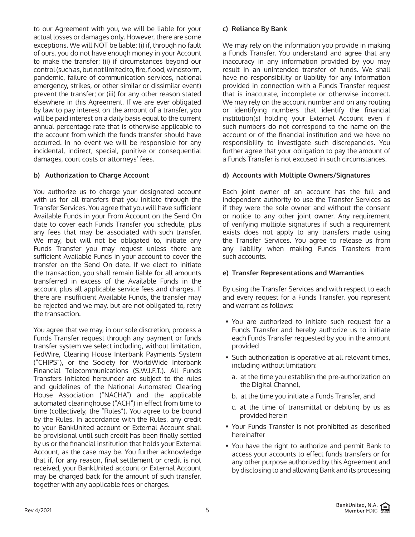to our Agreement with you, we will be liable for your actual losses or damages only. However, there are some exceptions. We will NOT be liable: (i) if, through no fault of ours, you do not have enough money in your Account to make the transfer; (ii) if circumstances beyond our control (such as, but not limited to, fire, flood, windstorm, pandemic, failure of communication services, national emergency, strikes, or other similar or dissimilar event) prevent the transfer; or (iii) for any other reason stated elsewhere in this Agreement. If we are ever obligated by law to pay interest on the amount of a transfer, you will be paid interest on a daily basis equal to the current annual percentage rate that is otherwise applicable to the account from which the funds transfer should have occurred. In no event we will be responsible for any incidental, indirect, special, punitive or consequential damages, court costs or attorneys' fees.

# **b) Authorization to Charge Account**

You authorize us to charge your designated account with us for all transfers that you initiate through the Transfer Services. You agree that you will have sufficient Available Funds in your From Account on the Send On date to cover each Funds Transfer you schedule, plus any fees that may be associated with such transfer. We may, but will not be obligated to, initiate any Funds Transfer you may request unless there are sufficient Available Funds in your account to cover the transfer on the Send On date. If we elect to initiate the transaction, you shall remain liable for all amounts transferred in excess of the Available Funds in the account plus all applicable service fees and charges. If there are insufficient Available Funds, the transfer may be rejected and we may, but are not obligated to, retry the transaction.

You agree that we may, in our sole discretion, process a Funds Transfer request through any payment or funds transfer system we select including, without limitation, FedWire, Clearing House Interbank Payments System ("CHIPS"), or the Society for WorldWide Interbank Financial Telecommunications (S.W.I.F.T.). All Funds Transfers initiated hereunder are subject to the rules and guidelines of the National Automated Clearing House Association ("NACHA") and the applicable automated clearinghouse ("ACH") in effect from time to time (collectively, the "Rules"). You agree to be bound by the Rules. In accordance with the Rules, any credit to your BankUnited account or External Account shall be provisional until such credit has been finally settled by us or the financial institution that holds your External Account, as the case may be. You further acknowledge that if, for any reason, final settlement or credit is not received, your BankUnited account or External Account may be charged back for the amount of such transfer, together with any applicable fees or charges.

#### **c) Reliance By Bank**

We may rely on the information you provide in making a Funds Transfer. You understand and agree that any inaccuracy in any information provided by you may result in an unintended transfer of funds. We shall have no responsibility or liability for any information provided in connection with a Funds Transfer request that is inaccurate, incomplete or otherwise incorrect. We may rely on the account number and on any routing or identifying numbers that identify the financial institution(s) holding your External Account even if such numbers do not correspond to the name on the account or of the financial institution and we have no responsibility to investigate such discrepancies. You further agree that your obligation to pay the amount of a Funds Transfer is not excused in such circumstances.

### **d) Accounts with Multiple Owners/Signatures**

Each joint owner of an account has the full and independent authority to use the Transfer Services as if they were the sole owner and without the consent or notice to any other joint owner. Any requirement of verifying multiple signatures if such a requirement exists does not apply to any transfers made using the Transfer Services. You agree to release us from any liability when making Funds Transfers from such accounts.

### **e) Transfer Representations and Warranties**

By using the Transfer Services and with respect to each and every request for a Funds Transfer, you represent and warrant as follows:

- You are authorized to initiate such request for a Funds Transfer and hereby authorize us to initiate each Funds Transfer requested by you in the amount provided
- Such authorization is operative at all relevant times, including without limitation:
	- a. at the time you establish the pre-authorization on the Digital Channel,
	- b. at the time you initiate a Funds Transfer, and
	- c. at the time of transmittal or debiting by us as provided herein
- Your Funds Transfer is not prohibited as described hereinafter
- You have the right to authorize and permit Bank to access your accounts to effect funds transfers or for any other purpose authorized by this Agreement and by disclosing to and allowing Bank and its processing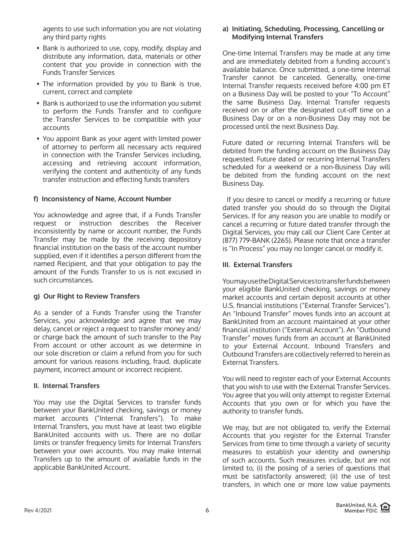agents to use such information you are not violating any third party rights

- Bank is authorized to use, copy, modify, display and distribute any information, data, materials or other content that you provide in connection with the Funds Transfer Services
- The information provided by you to Bank is true, current, correct and complete
- Bank is authorized to use the information you submit to perform the Funds Transfer and to configure the Transfer Services to be compatible with your accounts
- You appoint Bank as your agent with limited power of attorney to perform all necessary acts required in connection with the Transfer Services including, accessing and retrieving account information, verifying the content and authenticity of any funds transfer instruction and effecting funds transfers

## **f) Inconsistency of Name, Account Number**

You acknowledge and agree that, if a Funds Transfer request or instruction describes the Receiver inconsistently by name or account number, the Funds Transfer may be made by the receiving depository financial institution on the basis of the account number supplied, even if it identifies a person different from the named Recipient, and that your obligation to pay the amount of the Funds Transfer to us is not excused in such circumstances.

### **g) Our Right to Review Transfers**

As a sender of a Funds Transfer using the Transfer Services, you acknowledge and agree that we may delay, cancel or reject a request to transfer money and/ or charge back the amount of such transfer to the Pay From account or other account as we determine in our sole discretion or claim a refund from you for such amount for various reasons including, fraud, duplicate payment, incorrect amount or incorrect recipient.

### **II. Internal Transfers**

You may use the Digital Services to transfer funds between your BankUnited checking, savings or money market accounts ("Internal Transfers"). To make Internal Transfers, you must have at least two eligible BankUnited accounts with us. There are no dollar limits or transfer frequency limits for Internal Transfers between your own accounts. You may make Internal Transfers up to the amount of available funds in the applicable BankUnited Account.

### **a) Initiating, Scheduling, Processing, Cancelling or Modifying Internal Transfers**

One-time Internal Transfers may be made at any time and are immediately debited from a funding account's available balance. Once submitted, a one-time Internal Transfer cannot be canceled. Generally, one-time Internal Transfer requests received before 4:00 pm ET on a Business Day will be posted to your "To Account" the same Business Day. Internal Transfer requests received on or after the designated cut-off time on a Business Day or on a non-Business Day may not be processed until the next Business Day.

Future dated or recurring Internal Transfers will be debited from the funding account on the Business Day requested. Future dated or recurring Internal Transfers scheduled for a weekend or a non-Business Day will be debited from the funding account on the next Business Day.

 If you desire to cancel or modify a recurring or future dated transfer you should do so through the Digital Services. If for any reason you are unable to modify or cancel a recurring or future dated transfer through the Digital Services, you may call our Client Care Center at (877) 779-BANK (2265). Please note that once a transfer is "In Process" you may no longer cancel or modify it.

# **III. External Transfers**

You may use the Digital Services to transfer funds between your eligible BankUnited checking, savings or money market accounts and certain deposit accounts at other U.S. financial institutions ("External Transfer Services"). An "Inbound Transfer" moves funds into an account at BankUnited from an account maintained at your other financial institution ("External Account"). An "Outbound Transfer" moves funds from an account at BankUnited to your External Account. Inbound Transfers and Outbound Transfers are collectively referred to herein as External Transfers.

You will need to register each of your External Accounts that you wish to use with the External Transfer Services. You agree that you will only attempt to register External Accounts that you own or for which you have the authority to transfer funds.

We may, but are not obligated to, verify the External Accounts that you register for the External Transfer Services from time to time through a variety of security measures to establish your identity and ownership of such accounts. Such measures include, but are not limited to, (i) the posing of a series of questions that must be satisfactorily answered; (ii) the use of test transfers, in which one or more low value payments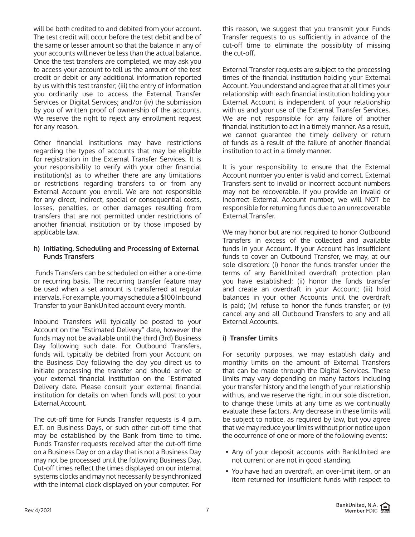will be both credited to and debited from your account. The test credit will occur before the test debit and be of the same or lesser amount so that the balance in any of your accounts will never be less than the actual balance. Once the test transfers are completed, we may ask you to access your account to tell us the amount of the test credit or debit or any additional information reported by us with this test transfer; (iii) the entry of information you ordinarily use to access the External Transfer Services or Digital Services; and/or (iv) the submission by you of written proof of ownership of the accounts. We reserve the right to reject any enrollment request for any reason.

Other financial institutions may have restrictions regarding the types of accounts that may be eligible for registration in the External Transfer Services. It is your responsibility to verify with your other financial institution(s) as to whether there are any limitations or restrictions regarding transfers to or from any External Account you enroll. We are not responsible for any direct, indirect, special or consequential costs, losses, penalties, or other damages resulting from transfers that are not permitted under restrictions of another financial institution or by those imposed by applicable law.

### **h) Initiating, Scheduling and Processing of External Funds Transfers**

 Funds Transfers can be scheduled on either a one-time or recurring basis. The recurring transfer feature may be used when a set amount is transferred at regular intervals. For example, you may schedule a \$100 Inbound Transfer to your BankUnited account every month.

Inbound Transfers will typically be posted to your Account on the "Estimated Delivery" date, however the funds may not be available until the third (3rd) Business Day following such date. For Outbound Transfers, funds will typically be debited from your Account on the Business Day following the day you direct us to initiate processing the transfer and should arrive at your external financial institution on the "Estimated Delivery date. Please consult your external financial institution for details on when funds will post to your External Account.

The cut-off time for Funds Transfer requests is 4 p.m. E.T. on Business Days, or such other cut-off time that may be established by the Bank from time to time. Funds Transfer requests received after the cut-off time on a Business Day or on a day that is not a Business Day may not be processed until the following Business Day. Cut-off times reflect the times displayed on our internal systems clocks and may not necessarily be synchronized with the internal clock displayed on your computer. For

this reason, we suggest that you transmit your Funds Transfer requests to us sufficiently in advance of the cut-off time to eliminate the possibility of missing the cut-off.

External Transfer requests are subject to the processing times of the financial institution holding your External Account. You understand and agree that at all times your relationship with each financial institution holding your External Account is independent of your relationship with us and your use of the External Transfer Services. We are not responsible for any failure of another financial institution to act in a timely manner. As a result, we cannot guarantee the timely delivery or return of funds as a result of the failure of another financial institution to act in a timely manner.

It is your responsibility to ensure that the External Account number you enter is valid and correct. External Transfers sent to invalid or incorrect account numbers may not be recoverable. If you provide an invalid or incorrect External Account number, we will NOT be responsible for returning funds due to an unrecoverable External Transfer.

We may honor but are not required to honor Outbound Transfers in excess of the collected and available funds in your Account. If your Account has insufficient funds to cover an Outbound Transfer, we may, at our sole discretion: (i) honor the funds transfer under the terms of any BankUnited overdraft protection plan you have established; (ii) honor the funds transfer and create an overdraft in your Account; (iii) hold balances in your other Accounts until the overdraft is paid; (iv) refuse to honor the funds transfer; or (v) cancel any and all Outbound Transfers to any and all External Accounts.

# **i) Transfer Limits**

For security purposes, we may establish daily and monthly limits on the amount of External Transfers that can be made through the Digital Services. These limits may vary depending on many factors including your transfer history and the length of your relationship with us, and we reserve the right, in our sole discretion, to change these limits at any time as we continually evaluate these factors. Any decrease in these limits will be subject to notice, as required by law, but you agree that we may reduce your limits without prior notice upon the occurrence of one or more of the following events:

- Any of your deposit accounts with BankUnited are not current or are not in good standing.
- You have had an overdraft, an over-limit item, or an item returned for insufficient funds with respect to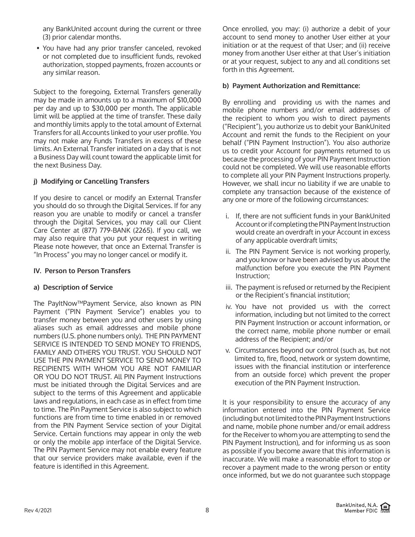any BankUnited account during the current or three (3) prior calendar months.

• You have had any prior transfer canceled, revoked or not completed due to insufficient funds, revoked authorization, stopped payments, frozen accounts or any similar reason.

Subject to the foregoing, External Transfers generally may be made in amounts up to a maximum of \$10,000 per day and up to \$30,000 per month. The applicable limit will be applied at the time of transfer. These daily and monthly limits apply to the total amount of External Transfers for all Accounts linked to your user profile. You may not make any Funds Transfers in excess of these limits. An External Transfer initiated on a day that is not a Business Day will count toward the applicable limit for the next Business Day.

# **j) Modifying or Cancelling Transfers**

If you desire to cancel or modify an External Transfer you should do so through the Digital Services. If for any reason you are unable to modify or cancel a transfer through the Digital Services, you may call our Client Care Center at (877) 779-BANK (2265). If you call, we may also require that you put your request in writing Please note however, that once an External Transfer is "In Process" you may no longer cancel or modify it.

# **IV. Person to Person Transfers**

# **a) Description of Service**

The PayItNow™Payment Service, also known as PIN Payment ("PIN Payment Service") enables you to transfer money between you and other users by using aliases such as email addresses and mobile phone numbers (U.S. phone numbers only). THE PIN PAYMENT SERVICE IS INTENDED TO SEND MONEY TO FRIENDS, FAMILY AND OTHERS YOU TRUST. YOU SHOULD NOT USE THE PIN PAYMENT SERVICE TO SEND MONEY TO RECIPIENTS WITH WHOM YOU ARE NOT FAMILIAR OR YOU DO NOT TRUST. All PIN Payment Instructions must be initiated through the Digital Services and are subject to the terms of this Agreement and applicable laws and regulations, in each case as in effect from time to time. The Pin Payment Service is also subject to which functions are from time to time enabled in or removed from the PIN Payment Service section of your Digital Service. Certain functions may appear in only the web or only the mobile app interface of the Digital Service. The PIN Payment Service may not enable every feature that our service providers make available, even if the feature is identified in this Agreement.

Once enrolled, you may: (i) authorize a debit of your account to send money to another User either at your initiation or at the request of that User; and (ii) receive money from another User either at that User's initiation or at your request, subject to any and all conditions set forth in this Agreement.

# **b) Payment Authorization and Remittance:**

By enrolling and providing us with the names and mobile phone numbers and/or email addresses of the recipient to whom you wish to direct payments ("Recipient"), you authorize us to debit your BankUnited Account and remit the funds to the Recipient on your behalf ("PIN Payment Instruction"). You also authorize us to credit your Account for payments returned to us because the processing of your PIN Payment Instruction could not be completed. We will use reasonable efforts to complete all your PIN Payment Instructions properly. However, we shall incur no liability if we are unable to complete any transaction because of the existence of any one or more of the following circumstances:

- i. If, there are not sufficient funds in your BankUnited Account or if completing the PIN Payment Instruction would create an overdraft in your Account in excess of any applicable overdraft limits;
- ii. The PIN Payment Service is not working properly, and you know or have been advised by us about the malfunction before you execute the PIN Payment Instruction;
- iii. The payment is refused or returned by the Recipient or the Recipient's financial institution;
- iv. You have not provided us with the correct information, including but not limited to the correct PIN Payment Instruction or account information, or the correct name, mobile phone number or email address of the Recipient; and/or
- v. Circumstances beyond our control (such as, but not limited to, fire, flood, network or system downtime, issues with the financial institution or interference from an outside force) which prevent the proper execution of the PIN Payment Instruction.

It is your responsibility to ensure the accuracy of any information entered into the PIN Payment Service (including but not limited to the PIN Payment Instructions and name, mobile phone number and/or email address for the Receiver to whom you are attempting to send the PIN Payment Instruction), and for informing us as soon as possible if you become aware that this information is inaccurate. We will make a reasonable effort to stop or recover a payment made to the wrong person or entity once informed, but we do not guarantee such stoppage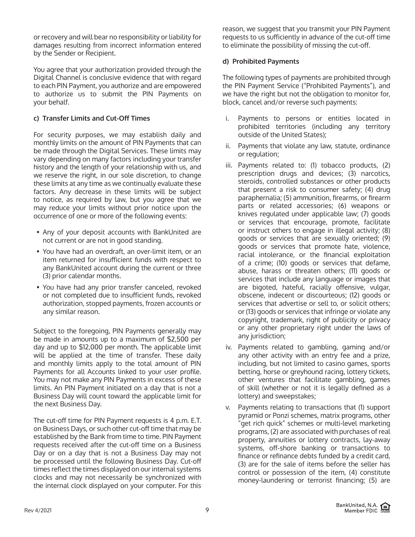or recovery and will bear no responsibility or liability for damages resulting from incorrect information entered by the Sender or Recipient.

You agree that your authorization provided through the Digital Channel is conclusive evidence that with regard to each PIN Payment, you authorize and are empowered to authorize us to submit the PIN Payments on your behalf.

# **c) Transfer Limits and Cut-Off Times**

For security purposes, we may establish daily and monthly limits on the amount of PIN Payments that can be made through the Digital Services. These limits may vary depending on many factors including your transfer history and the length of your relationship with us, and we reserve the right, in our sole discretion, to change these limits at any time as we continually evaluate these factors. Any decrease in these limits will be subject to notice, as required by law, but you agree that we may reduce your limits without prior notice upon the occurrence of one or more of the following events:

- Any of your deposit accounts with BankUnited are not current or are not in good standing.
- You have had an overdraft, an over-limit item, or an item returned for insufficient funds with respect to any BankUnited account during the current or three (3) prior calendar months.
- You have had any prior transfer canceled, revoked or not completed due to insufficient funds, revoked authorization, stopped payments, frozen accounts or any similar reason.

Subject to the foregoing, PIN Payments generally may be made in amounts up to a maximum of \$2,500 per day and up to \$12,000 per month. The applicable limit will be applied at the time of transfer. These daily and monthly limits apply to the total amount of PIN Payments for all Accounts linked to your user profile. You may not make any PIN Payments in excess of these limits. An PIN Payment initiated on a day that is not a Business Day will count toward the applicable limit for the next Business Day.

The cut-off time for PIN Payment requests is 4 p.m. E.T. on Business Days, or such other cut-off time that may be established by the Bank from time to time. PIN Payment requests received after the cut-off time on a Business Day or on a day that is not a Business Day may not be processed until the following Business Day. Cut-off times reflect the times displayed on our internal systems clocks and may not necessarily be synchronized with the internal clock displayed on your computer. For this

reason, we suggest that you transmit your PIN Payment requests to us sufficiently in advance of the cut-off time to eliminate the possibility of missing the cut-off.

# **d) Prohibited Payments**

The following types of payments are prohibited through the PIN Payment Service ("Prohibited Payments"), and we have the right but not the obligation to monitor for, block, cancel and/or reverse such payments:

- i. Payments to persons or entities located in prohibited territories (including any territory outside of the United States);
- ii. Payments that violate any law, statute, ordinance or regulation;
- iii. Payments related to: (1) tobacco products, (2) prescription drugs and devices; (3) narcotics, steroids, controlled substances or other products that present a risk to consumer safety; (4) drug paraphernalia; (5) ammunition, firearms, or firearm parts or related accessories; (6) weapons or knives regulated under applicable law; (7) goods or services that encourage, promote, facilitate or instruct others to engage in illegal activity; (8) goods or services that are sexually oriented; (9) goods or services that promote hate, violence, racial intolerance, or the financial exploitation of a crime; (10) goods or services that defame, abuse, harass or threaten others; (11) goods or services that include any language or images that are bigoted, hateful, racially offensive, vulgar, obscene, indecent or discourteous; (12) goods or services that advertise or sell to, or solicit others; or (13) goods or services that infringe or violate any copyright, trademark, right of publicity or privacy or any other proprietary right under the laws of any jurisdiction;
- iv. Payments related to gambling, gaming and/or any other activity with an entry fee and a prize, including, but not limited to casino games, sports betting, horse or greyhound racing, lottery tickets, other ventures that facilitate gambling, games of skill (whether or not it is legally defined as a lottery) and sweepstakes;
- v. Payments relating to transactions that (1) support pyramid or Ponzi schemes, matrix programs, other "get rich quick" schemes or multi-level marketing programs, (2) are associated with purchases of real property, annuities or lottery contracts, lay-away systems, off-shore banking or transactions to finance or refinance debts funded by a credit card, (3) are for the sale of items before the seller has control or possession of the item, (4) constitute money-laundering or terrorist financing; (5) are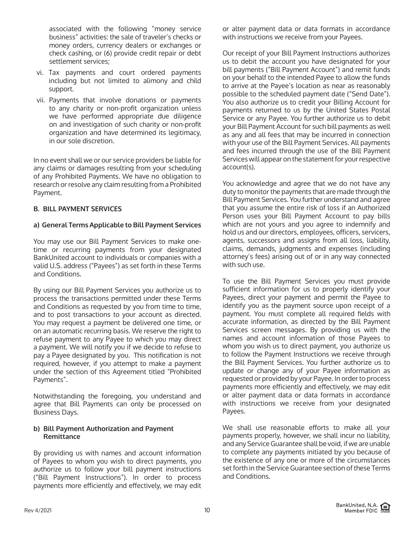associated with the following "money service business" activities: the sale of traveler's checks or money orders, currency dealers or exchanges or check cashing, or (6) provide credit repair or debt settlement services;

- vi. Tax payments and court ordered payments including but not limited to alimony and child support.
- vii. Payments that involve donations or payments to any charity or non-profit organization unless we have performed appropriate due diligence on and investigation of such charity or non-profit organization and have determined its legitimacy, in our sole discretion.

In no event shall we or our service providers be liable for any claims or damages resulting from your scheduling of any Prohibited Payments. We have no obligation to research or resolve any claim resulting from a Prohibited Payment.

## **B. BILL PAYMENT SERVICES**

## **a) General Terms Applicable to Bill Payment Services**

You may use our Bill Payment Services to make onetime or recurring payments from your designated BankUnited account to individuals or companies with a valid U.S. address ("Payees") as set forth in these Terms and Conditions.

By using our Bill Payment Services you authorize us to process the transactions permitted under these Terms and Conditions as requested by you from time to time, and to post transactions to your account as directed. You may request a payment be delivered one time, or on an automatic recurring basis. We reserve the right to refuse payment to any Payee to which you may direct a payment. We will notify you if we decide to refuse to pay a Payee designated by you. This notification is not required, however, if you attempt to make a payment under the section of this Agreement titled "Prohibited Payments".

Notwithstanding the foregoing, you understand and agree that Bill Payments can only be processed on Business Days.

## **b) Bill Payment Authorization and Payment Remittance**

By providing us with names and account information of Payees to whom you wish to direct payments, you authorize us to follow your bill payment instructions ("Bill Payment Instructions"). In order to process payments more efficiently and effectively, we may edit or alter payment data or data formats in accordance with instructions we receive from your Payees.

Our receipt of your Bill Payment Instructions authorizes us to debit the account you have designated for your bill payments ("Bill Payment Account") and remit funds on your behalf to the intended Payee to allow the funds to arrive at the Payee's location as near as reasonably possible to the scheduled payment date ("Send Date"). You also authorize us to credit your Billing Account for payments returned to us by the United States Postal Service or any Payee. You further authorize us to debit your Bill Payment Account for such bill payments as well as any and all fees that may be incurred in connection with your use of the Bill Payment Services. All payments and fees incurred through the use of the Bill Payment Services will appear on the statement for your respective account(s).

You acknowledge and agree that we do not have any duty to monitor the payments that are made through the Bill Payment Services. You further understand and agree that you assume the entire risk of loss if an Authorized Person uses your Bill Payment Account to pay bills which are not yours and you agree to indemnify and hold us and our directors, employees, officers, servicers, agents, successors and assigns from all loss, liability, claims, demands, judgments and expenses (including attorney's fees) arising out of or in any way connected with such use.

To use the Bill Payment Services you must provide sufficient information for us to properly identify your Payees, direct your payment and permit the Payee to identify you as the payment source upon receipt of a payment. You must complete all required fields with accurate information, as directed by the Bill Payment Services screen messages. By providing us with the names and account information of those Payees to whom you wish us to direct payment, you authorize us to follow the Payment Instructions we receive through the Bill Payment Services. You further authorize us to update or change any of your Payee information as requested or provided by your Payee. In order to process payments more efficiently and effectively, we may edit or alter payment data or data formats in accordance with instructions we receive from your designated Payees.

We shall use reasonable efforts to make all your payments properly, however, we shall incur no liability, and any Service Guarantee shall be void, if we are unable to complete any payments initiated by you because of the existence of any one or more of the circumstances set forth in the Service Guarantee section of these Terms and Conditions.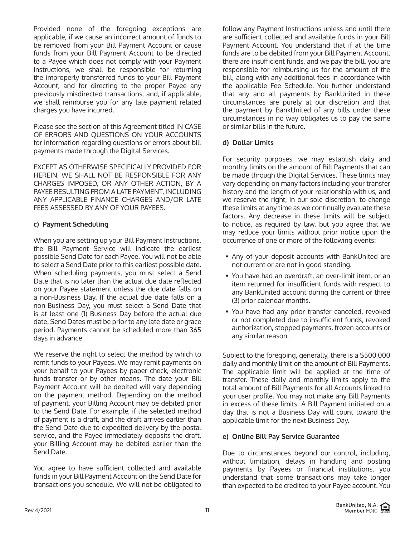Provided none of the foregoing exceptions are applicable, if we cause an incorrect amount of funds to be removed from your Bill Payment Account or cause funds from your Bill Payment Account to be directed to a Payee which does not comply with your Payment Instructions, we shall be responsible for returning the improperly transferred funds to your Bill Payment Account, and for directing to the proper Payee any previously misdirected transactions, and, if applicable, we shall reimburse you for any late payment related charges you have incurred.

Please see the section of this Agreement titled IN CASE OF ERRORS AND QUESTIONS ON YOUR ACCOUNTS for information regarding questions or errors about bill payments made through the Digital Services.

EXCEPT AS OTHERWISE SPECIFICALLY PROVIDED FOR HEREIN, WE SHALL NOT BE RESPONSIBLE FOR ANY CHARGES IMPOSED, OR ANY OTHER ACTION, BY A PAYEE RESULTING FROM A LATE PAYMENT, INCLUDING ANY APPLICABLE FINANCE CHARGES AND/OR LATE FEES ASSESSED BY ANY OF YOUR PAYEES.

# **c) Payment Scheduling**

When you are setting up your Bill Payment Instructions, the Bill Payment Service will indicate the earliest possible Send Date for each Payee. You will not be able to select a Send Date prior to this earliest possible date. When scheduling payments, you must select a Send Date that is no later than the actual due date reflected on your Payee statement unless the due date falls on a non-Business Day. If the actual due date falls on a non-Business Day, you must select a Send Date that is at least one (1) Business Day before the actual due date. Send Dates must be prior to any late date or grace period. Payments cannot be scheduled more than 365 days in advance.

We reserve the right to select the method by which to remit funds to your Payees. We may remit payments on your behalf to your Payees by paper check, electronic funds transfer or by other means. The date your Bill Payment Account will be debited will vary depending on the payment method. Depending on the method of payment, your Billing Account may be debited prior to the Send Date. For example, if the selected method of payment is a draft, and the draft arrives earlier than the Send Date due to expedited delivery by the postal service, and the Payee immediately deposits the draft, your Billing Account may be debited earlier than the Send Date.

You agree to have sufficient collected and available funds in your Bill Payment Account on the Send Date for transactions you schedule. We will not be obligated to

follow any Payment Instructions unless and until there are sufficient collected and available funds in your Bill Payment Account. You understand that if at the time funds are to be debited from your Bill Payment Account, there are insufficient funds, and we pay the bill, you are responsible for reimbursing us for the amount of the bill, along with any additional fees in accordance with the applicable Fee Schedule. You further understand that any and all payments by BankUnited in these circumstances are purely at our discretion and that the payment by BankUnited of any bills under these circumstances in no way obligates us to pay the same or similar bills in the future.

## **d) Dollar Limits**

For security purposes, we may establish daily and monthly limits on the amount of Bill Payments that can be made through the Digital Services. These limits may vary depending on many factors including your transfer history and the length of your relationship with us, and we reserve the right, in our sole discretion, to change these limits at any time as we continually evaluate these factors. Any decrease in these limits will be subject to notice, as required by law, but you agree that we may reduce your limits without prior notice upon the occurrence of one or more of the following events:

- Any of your deposit accounts with BankUnited are not current or are not in good standing.
- You have had an overdraft, an over-limit item, or an item returned for insufficient funds with respect to any BankUnited account during the current or three (3) prior calendar months.
- You have had any prior transfer canceled, revoked or not completed due to insufficient funds, revoked authorization, stopped payments, frozen accounts or any similar reason.

Subject to the foregoing, generally, there is a \$500,000 daily and monthly limit on the amount of Bill Payments. The applicable limit will be applied at the time of transfer. These daily and monthly limits apply to the total amount of Bill Payments for all Accounts linked to your user profile. You may not make any Bill Payments in excess of these limits. A Bill Payment initiated on a day that is not a Business Day will count toward the applicable limit for the next Business Day.

### **e) Online Bill Pay Service Guarantee**

Due to circumstances beyond our control, including, without limitation, delays in handling and posting payments by Payees or financial institutions, you understand that some transactions may take longer than expected to be credited to your Payee account. You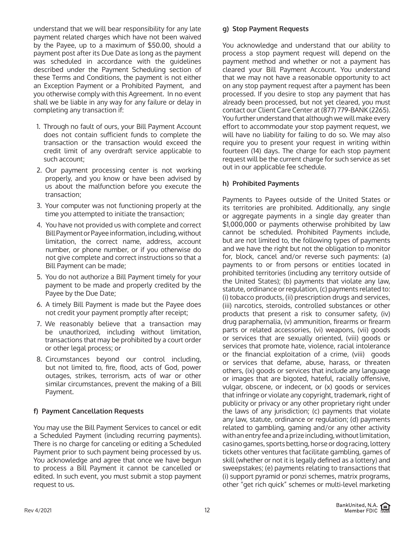understand that we will bear responsibility for any late payment related charges which have not been waived by the Payee, up to a maximum of \$50.00, should a payment post after its Due Date as long as the payment was scheduled in accordance with the guidelines described under the Payment Scheduling section of these Terms and Conditions, the payment is not either an Exception Payment or a Prohibited Payment, and you otherwise comply with this Agreement. In no event shall we be liable in any way for any failure or delay in completing any transaction if:

- 1. Through no fault of ours, your Bill Payment Account does not contain sufficient funds to complete the transaction or the transaction would exceed the credit limit of any overdraft service applicable to such account;
- 2. Our payment processing center is not working properly, and you know or have been advised by us about the malfunction before you execute the transaction;
- 3. Your computer was not functioning properly at the time you attempted to initiate the transaction;
- 4. You have not provided us with complete and correct Bill Payment or Payee information, including, without limitation, the correct name, address, account number, or phone number, or if you otherwise do not give complete and correct instructions so that a Bill Payment can be made;
- 5. You do not authorize a Bill Payment timely for your payment to be made and properly credited by the Payee by the Due Date;
- 6. A timely Bill Payment is made but the Payee does not credit your payment promptly after receipt;
- 7. We reasonably believe that a transaction may be unauthorized, including without limitation, transactions that may be prohibited by a court order or other legal process; or
- 8. Circumstances beyond our control including, but not limited to, fire, flood, acts of God, power outages, strikes, terrorism, acts of war or other similar circumstances, prevent the making of a Bill Payment.

# **f) Payment Cancellation Requests**

You may use the Bill Payment Services to cancel or edit a Scheduled Payment (including recurring payments). There is no charge for canceling or editing a Scheduled Payment prior to such payment being processed by us. You acknowledge and agree that once we have begun to process a Bill Payment it cannot be cancelled or edited. In such event, you must submit a stop payment request to us.

## **g) Stop Payment Requests**

You acknowledge and understand that our ability to process a stop payment request will depend on the payment method and whether or not a payment has cleared your Bill Payment Account. You understand that we may not have a reasonable opportunity to act on any stop payment request after a payment has been processed. If you desire to stop any payment that has already been processed, but not yet cleared, you must contact our Client Care Center at (877) 779-BANK (2265). You further understand that although we will make every effort to accommodate your stop payment request, we will have no liability for failing to do so. We may also require you to present your request in writing within fourteen (14) days. The charge for each stop payment request will be the current charge for such service as set out in our applicable fee schedule.

## **h) Prohibited Payments**

Payments to Payees outside of the United States or its territories are prohibited. Additionally, any single or aggregate payments in a single day greater than \$1,000,000 or payments otherwise prohibited by law cannot be scheduled. Prohibited Payments include, but are not limited to, the following types of payments and we have the right but not the obligation to monitor for, block, cancel and/or reverse such payments: (a) payments to or from persons or entities located in prohibited territories (including any territory outside of the United States); (b) payments that violate any law, statute, ordinance or regulation, (c) payments related to: (i) tobacco products, (ii) prescription drugs and services, (iii) narcotics, steroids, controlled substances or other products that present a risk to consumer safety, (iv) drug paraphernalia, (v) ammunition, firearms or firearm parts or related accessories, (vi) weapons, (vii) goods or services that are sexually oriented, (viii) goods or services that promote hate, violence, racial intolerance or the financial exploitation of a crime, (viii) goods or services that defame, abuse, harass, or threaten others, (ix) goods or services that include any language or images that are bigoted, hateful, racially offensive, vulgar, obscene, or indecent, or (x) goods or services that infringe or violate any copyright, trademark, right of publicity or privacy or any other proprietary right under the laws of any jurisdiction; (c) payments that violate any law, statute, ordinance or regulation; (d) payments related to gambling, gaming and/or any other activity with an entry fee and a prize including, without limitation, casino games, sports betting, horse or dog racing, lottery tickets other ventures that facilitate gambling, games of skill (whether or not it is legally defined as a lottery) and sweepstakes; (e) payments relating to transactions that (i) support pyramid or ponzi schemes, matrix programs, other "get rich quick" schemes or multi-level marketing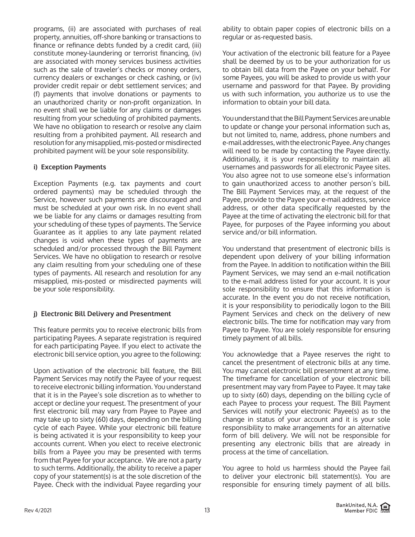programs, (ii) are associated with purchases of real property, annuities, off-shore banking or transactions to finance or refinance debts funded by a credit card, (iii) constitute money-laundering or terrorist financing, (iv) are associated with money services business activities such as the sale of traveler's checks or money orders, currency dealers or exchanges or check cashing, or (iv) provider credit repair or debt settlement services; and (f) payments that involve donations or payments to an unauthorized charity or non-profit organization. In no event shall we be liable for any claims or damages resulting from your scheduling of prohibited payments. We have no obligation to research or resolve any claim resulting from a prohibited payment. All research and resolution for any misapplied, mis-posted or misdirected prohibited payment will be your sole responsibility.

# **i) Exception Payments**

Exception Payments (e.g. tax payments and court ordered payments) may be scheduled through the Service, however such payments are discouraged and must be scheduled at your own risk. In no event shall we be liable for any claims or damages resulting from your scheduling of these types of payments. The Service Guarantee as it applies to any late payment related changes is void when these types of payments are scheduled and/or processed through the Bill Payment Services. We have no obligation to research or resolve any claim resulting from your scheduling one of these types of payments. All research and resolution for any misapplied, mis-posted or misdirected payments will be your sole responsibility.

# **j) Electronic Bill Delivery and Presentment**

This feature permits you to receive electronic bills from participating Payees. A separate registration is required for each participating Payee. If you elect to activate the electronic bill service option, you agree to the following:

Upon activation of the electronic bill feature, the Bill Payment Services may notify the Payee of your request to receive electronic billing information. You understand that it is in the Payee's sole discretion as to whether to accept or decline your request. The presentment of your first electronic bill may vary from Payee to Payee and may take up to sixty (60) days, depending on the billing cycle of each Payee. While your electronic bill feature is being activated it is your responsibility to keep your accounts current. When you elect to receive electronic bills from a Payee you may be presented with terms from that Payee for your acceptance. We are not a party to such terms. Additionally, the ability to receive a paper copy of your statement(s) is at the sole discretion of the Payee. Check with the individual Payee regarding your

ability to obtain paper copies of electronic bills on a regular or as-requested basis.

Your activation of the electronic bill feature for a Payee shall be deemed by us to be your authorization for us to obtain bill data from the Payee on your behalf. For some Payees, you will be asked to provide us with your username and password for that Payee. By providing us with such information, you authorize us to use the information to obtain your bill data.

You understand that the Bill Payment Services are unable to update or change your personal information such as, but not limited to, name, address, phone numbers and e-mail addresses, with the electronic Payee. Any changes will need to be made by contacting the Payee directly. Additionally, it is your responsibility to maintain all usernames and passwords for all electronic Payee sites. You also agree not to use someone else's information to gain unauthorized access to another person's bill. The Bill Payment Services may, at the request of the Payee, provide to the Payee your e-mail address, service address, or other data specifically requested by the Payee at the time of activating the electronic bill for that Payee, for purposes of the Payee informing you about service and/or bill information.

You understand that presentment of electronic bills is dependent upon delivery of your billing information from the Payee. In addition to notification within the Bill Payment Services, we may send an e-mail notification to the e-mail address listed for your account. It is your sole responsibility to ensure that this information is accurate. In the event you do not receive notification, it is your responsibility to periodically logon to the Bill Payment Services and check on the delivery of new electronic bills. The time for notification may vary from Payee to Payee. You are solely responsible for ensuring timely payment of all bills.

You acknowledge that a Payee reserves the right to cancel the presentment of electronic bills at any time. You may cancel electronic bill presentment at any time. The timeframe for cancellation of your electronic bill presentment may vary from Payee to Payee. It may take up to sixty (60) days, depending on the billing cycle of each Payee to process your request. The Bill Payment Services will notify your electronic Payee(s) as to the change in status of your account and it is your sole responsibility to make arrangements for an alternative form of bill delivery. We will not be responsible for presenting any electronic bills that are already in process at the time of cancellation.

You agree to hold us harmless should the Payee fail to deliver your electronic bill statement(s). You are responsible for ensuring timely payment of all bills.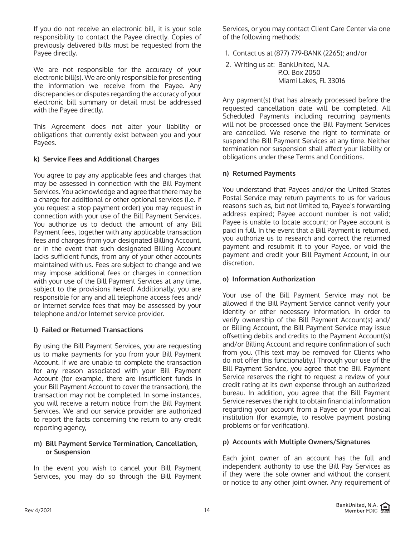If you do not receive an electronic bill, it is your sole responsibility to contact the Payee directly. Copies of previously delivered bills must be requested from the Payee directly.

We are not responsible for the accuracy of your electronic bill(s). We are only responsible for presenting the information we receive from the Payee. Any discrepancies or disputes regarding the accuracy of your electronic bill summary or detail must be addressed with the Payee directly.

This Agreement does not alter your liability or obligations that currently exist between you and your Payees.

# **k) Service Fees and Additional Charges**

You agree to pay any applicable fees and charges that may be assessed in connection with the Bill Payment Services. You acknowledge and agree that there may be a charge for additional or other optional services (i.e. if you request a stop payment order) you may request in connection with your use of the Bill Payment Services. You authorize us to deduct the amount of any Bill Payment fees, together with any applicable transaction fees and charges from your designated Billing Account, or in the event that such designated Billing Account lacks sufficient funds, from any of your other accounts maintained with us. Fees are subject to change and we may impose additional fees or charges in connection with your use of the Bill Payment Services at any time, subject to the provisions hereof. Additionally, you are responsible for any and all telephone access fees and/ or Internet service fees that may be assessed by your telephone and/or Internet service provider.

# **l) Failed or Returned Transactions**

By using the Bill Payment Services, you are requesting us to make payments for you from your Bill Payment Account. If we are unable to complete the transaction for any reason associated with your Bill Payment Account (for example, there are insufficient funds in your Bill Payment Account to cover the transaction), the transaction may not be completed. In some instances, you will receive a return notice from the Bill Payment Services. We and our service provider are authorized to report the facts concerning the return to any credit reporting agency,

## **m) Bill Payment Service Termination, Cancellation, or Suspension**

In the event you wish to cancel your Bill Payment Services, you may do so through the Bill Payment Services, or you may contact Client Care Center via one of the following methods:

1. Contact us at (877) 779-BANK (2265); and/or

2. Writing us at: BankUnited, N.A. P.O. Box 2050 Miami Lakes, FL 33016

Any payment(s) that has already processed before the requested cancellation date will be completed. All Scheduled Payments including recurring payments will not be processed once the Bill Payment Services are cancelled. We reserve the right to terminate or suspend the Bill Payment Services at any time. Neither termination nor suspension shall affect your liability or obligations under these Terms and Conditions.

# **n) Returned Payments**

You understand that Payees and/or the United States Postal Service may return payments to us for various reasons such as, but not limited to, Payee's forwarding address expired; Payee account number is not valid; Payee is unable to locate account; or Payee account is paid in full. In the event that a Bill Payment is returned, you authorize us to research and correct the returned payment and resubmit it to your Payee, or void the payment and credit your Bill Payment Account, in our discretion.

# **o) Information Authorization**

Your use of the Bill Payment Service may not be allowed if the Bill Payment Service cannot verify your identity or other necessary information. In order to verify ownership of the Bill Payment Account(s) and/ or Billing Account, the Bill Payment Service may issue offsetting debits and credits to the Payment Account(s) and/or Billing Account and require confirmation of such from you. (This text may be removed for Clients who do not offer this functionality.) Through your use of the Bill Payment Service, you agree that the Bill Payment Service reserves the right to request a review of your credit rating at its own expense through an authorized bureau. In addition, you agree that the Bill Payment Service reserves the right to obtain financial information regarding your account from a Payee or your financial institution (for example, to resolve payment posting problems or for verification).

# **p) Accounts with Multiple Owners/Signatures**

Each joint owner of an account has the full and independent authority to use the Bill Pay Services as if they were the sole owner and without the consent or notice to any other joint owner. Any requirement of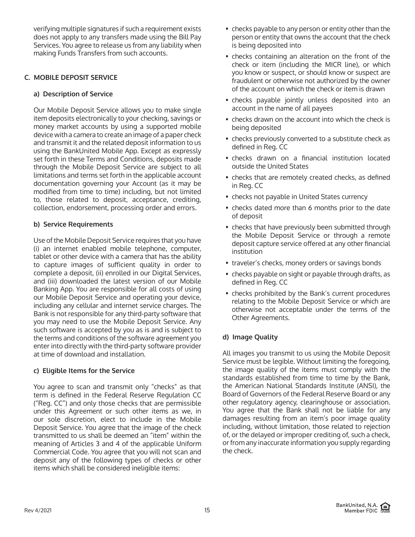verifying multiple signatures if such a requirement exists does not apply to any transfers made using the Bill Pay Services. You agree to release us from any liability when making Funds Transfers from such accounts.

# **C. MOBILE DEPOSIT SERVICE**

## **a) Description of Service**

Our Mobile Deposit Service allows you to make single item deposits electronically to your checking, savings or money market accounts by using a supported mobile device with a camera to create an image of a paper check and transmit it and the related deposit information to us using the BankUnited Mobile App. Except as expressly set forth in these Terms and Conditions, deposits made through the Mobile Deposit Service are subject to all limitations and terms set forth in the applicable account documentation governing your Account (as it may be modified from time to time) including, but not limited to, those related to deposit, acceptance, crediting, collection, endorsement, processing order and errors.

## **b) Service Requirements**

Use of the Mobile Deposit Service requires that you have (i) an internet enabled mobile telephone, computer, tablet or other device with a camera that has the ability to capture images of sufficient quality in order to complete a deposit, (ii) enrolled in our Digital Services, and (iii) downloaded the latest version of our Mobile Banking App. You are responsible for all costs of using our Mobile Deposit Service and operating your device, including any cellular and internet service charges. The Bank is not responsible for any third-party software that you may need to use the Mobile Deposit Service. Any such software is accepted by you as is and is subject to the terms and conditions of the software agreement you enter into directly with the third-party software provider at time of download and installation.

# **c) Eligible Items for the Service**

You agree to scan and transmit only "checks" as that term is defined in the Federal Reserve Regulation CC ("Reg. CC") and only those checks that are permissible under this Agreement or such other items as we, in our sole discretion, elect to include in the Mobile Deposit Service. You agree that the image of the check transmitted to us shall be deemed an "item" within the meaning of Articles 3 and 4 of the applicable Uniform Commercial Code. You agree that you will not scan and deposit any of the following types of checks or other items which shall be considered ineligible items:

- checks payable to any person or entity other than the person or entity that owns the account that the check is being deposited into
- checks containing an alteration on the front of the check or item (including the MICR line), or which you know or suspect, or should know or suspect are fraudulent or otherwise not authorized by the owner of the account on which the check or item is drawn
- checks payable jointly unless deposited into an account in the name of all payees
- checks drawn on the account into which the check is being deposited
- checks previously converted to a substitute check as defined in Reg. CC
- checks drawn on a financial institution located outside the United States
- checks that are remotely created checks, as defined in Reg. CC
- checks not payable in United States currency
- checks dated more than 6 months prior to the date of deposit
- checks that have previously been submitted through the Mobile Deposit Service or through a remote deposit capture service offered at any other financial institution
- traveler's checks, money orders or savings bonds
- checks payable on sight or payable through drafts, as defined in Reg. CC
- checks prohibited by the Bank's current procedures relating to the Mobile Deposit Service or which are otherwise not acceptable under the terms of the Other Agreements.

# **d) Image Quality**

All images you transmit to us using the Mobile Deposit Service must be legible. Without limiting the foregoing, the image quality of the items must comply with the standards established from time to time by the Bank, the American National Standards Institute (ANSI), the Board of Governors of the Federal Reserve Board or any other regulatory agency, clearinghouse or association. You agree that the Bank shall not be liable for any damages resulting from an item's poor image quality including, without limitation, those related to rejection of, or the delayed or improper crediting of, such a check, or from any inaccurate information you supply regarding the check.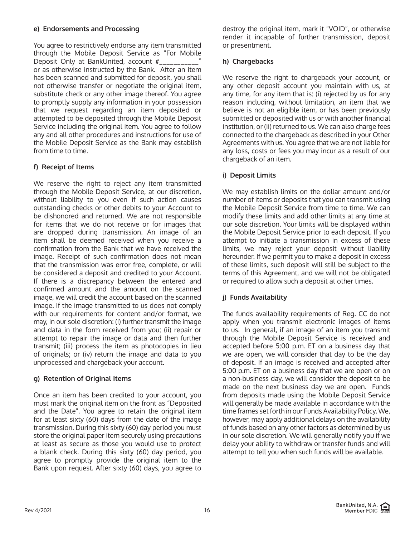### **e) Endorsements and Processing**

You agree to restrictively endorse any item transmitted through the Mobile Deposit Service as "For Mobile Deposit Only at BankUnited, account #\_\_\_\_\_\_\_\_\_\_\_\_\_\_" or as otherwise instructed by the Bank. After an item has been scanned and submitted for deposit, you shall not otherwise transfer or negotiate the original item, substitute check or any other image thereof. You agree to promptly supply any information in your possession that we request regarding an item deposited or attempted to be deposited through the Mobile Deposit Service including the original item. You agree to follow any and all other procedures and instructions for use of the Mobile Deposit Service as the Bank may establish from time to time.

# **f) Receipt of Items**

We reserve the right to reject any item transmitted through the Mobile Deposit Service, at our discretion, without liability to you even if such action causes outstanding checks or other debits to your Account to be dishonored and returned. We are not responsible for items that we do not receive or for images that are dropped during transmission. An image of an item shall be deemed received when you receive a confirmation from the Bank that we have received the image. Receipt of such confirmation does not mean that the transmission was error free, complete, or will be considered a deposit and credited to your Account. If there is a discrepancy between the entered and confirmed amount and the amount on the scanned image, we will credit the account based on the scanned image. If the image transmitted to us does not comply with our requirements for content and/or format, we may, in our sole discretion: (i) further transmit the image and data in the form received from you; (ii) repair or attempt to repair the image or data and then further transmit; (iii) process the item as photocopies in lieu of originals; or (iv) return the image and data to you unprocessed and chargeback your account.

# **g) Retention of Original Items**

Once an item has been credited to your account, you must mark the original item on the front as "Deposited and the Date". You agree to retain the original item for at least sixty (60) days from the date of the image transmission. During this sixty (60) day period you must store the original paper item securely using precautions at least as secure as those you would use to protect a blank check. During this sixty (60) day period, you agree to promptly provide the original item to the Bank upon request. After sixty (60) days, you agree to destroy the original item, mark it "VOID", or otherwise render it incapable of further transmission, deposit or presentment.

# **h) Chargebacks**

We reserve the right to chargeback your account, or any other deposit account you maintain with us, at any time, for any item that is: (i) rejected by us for any reason including, without limitation, an item that we believe is not an eligible item, or has been previously submitted or deposited with us or with another financial institution, or (ii) returned to us. We can also charge fees connected to the chargeback as described in your Other Agreements with us. You agree that we are not liable for any loss, costs or fees you may incur as a result of our chargeback of an item.

# **i) Deposit Limits**

We may establish limits on the dollar amount and/or number of items or deposits that you can transmit using the Mobile Deposit Service from time to time. We can modify these limits and add other limits at any time at our sole discretion. Your limits will be displayed within the Mobile Deposit Service prior to each deposit. If you attempt to initiate a transmission in excess of these limits, we may reject your deposit without liability hereunder. If we permit you to make a deposit in excess of these limits, such deposit will still be subject to the terms of this Agreement, and we will not be obligated or required to allow such a deposit at other times.

# **j) Funds Availability**

The funds availability requirements of Reg. CC do not apply when you transmit electronic images of items to us. In general, if an image of an item you transmit through the Mobile Deposit Service is received and accepted before 5:00 p.m. ET on a business day that we are open, we will consider that day to be the day of deposit. If an image is received and accepted after 5:00 p.m. ET on a business day that we are open or on a non-business day, we will consider the deposit to be made on the next business day we are open. Funds from deposits made using the Mobile Deposit Service will generally be made available in accordance with the time frames set forth in our Funds Availability Policy. We, however, may apply additional delays on the availability of funds based on any other factors as determined by us in our sole discretion. We will generally notify you if we delay your ability to withdraw or transfer funds and will attempt to tell you when such funds will be available.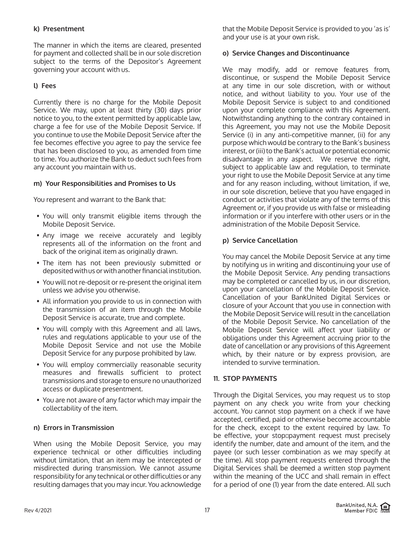## **k) Presentment**

The manner in which the items are cleared, presented for payment and collected shall be in our sole discretion subject to the terms of the Depositor's Agreement governing your account with us.

# **l) Fees**

Currently there is no charge for the Mobile Deposit Service. We may, upon at least thirty (30) days prior notice to you, to the extent permitted by applicable law, charge a fee for use of the Mobile Deposit Service. If you continue to use the Mobile Deposit Service after the fee becomes effective you agree to pay the service fee that has been disclosed to you, as amended from time to time. You authorize the Bank to deduct such fees from any account you maintain with us.

## **m) Your Responsibilities and Promises to Us**

You represent and warrant to the Bank that:

- You will only transmit eligible items through the Mobile Deposit Service.
- Any image we receive accurately and legibly represents all of the information on the front and back of the original item as originally drawn.
- The item has not been previously submitted or deposited with us or with another financial institution.
- You will not re-deposit or re-present the original item unless we advise you otherwise.
- All information you provide to us in connection with the transmission of an item through the Mobile Deposit Service is accurate, true and complete.
- You will comply with this Agreement and all laws, rules and regulations applicable to your use of the Mobile Deposit Service and not use the Mobile Deposit Service for any purpose prohibited by law.
- You will employ commercially reasonable security measures and firewalls sufficient to protect transmissions and storage to ensure no unauthorized access or duplicate presentment.
- You are not aware of any factor which may impair the collectability of the item.

### **n) Errors in Transmission**

When using the Mobile Deposit Service, you may experience technical or other difficulties including without limitation, that an item may be intercepted or misdirected during transmission. We cannot assume responsibility for any technical or other difficulties or any resulting damages that you may incur. You acknowledge

that the Mobile Deposit Service is provided to you 'as is' and your use is at your own risk.

### **o) Service Changes and Discontinuance**

We may modify, add or remove features from, discontinue, or suspend the Mobile Deposit Service at any time in our sole discretion, with or without notice, and without liability to you. Your use of the Mobile Deposit Service is subject to and conditioned upon your complete compliance with this Agreement. Notwithstanding anything to the contrary contained in this Agreement, you may not use the Mobile Deposit Service (i) in any anti-competitive manner, (ii) for any purpose which would be contrary to the Bank's business interest, or (iii) to the Bank's actual or potential economic disadvantage in any aspect. We reserve the right, subject to applicable law and regulation, to terminate your right to use the Mobile Deposit Service at any time and for any reason including, without limitation, if we, in our sole discretion, believe that you have engaged in conduct or activities that violate any of the terms of this Agreement or, if you provide us with false or misleading information or if you interfere with other users or in the administration of the Mobile Deposit Service.

## **p) Service Cancellation**

You may cancel the Mobile Deposit Service at any time by notifying us in writing and discontinuing your use of the Mobile Deposit Service. Any pending transactions may be completed or cancelled by us, in our discretion, upon your cancellation of the Mobile Deposit Service. Cancellation of your BankUnited Digital Services or closure of your Account that you use in connection with the Mobile Deposit Service will result in the cancellation of the Mobile Deposit Service. No cancellation of the Mobile Deposit Service will affect your liability or obligations under this Agreement accruing prior to the date of cancellation or any provisions of this Agreement which, by their nature or by express provision, are intended to survive termination.

### **11. STOP PAYMENTS**

Through the Digital Services, you may request us to stop payment on any check you write from your checking account. You cannot stop payment on a check if we have accepted, certified, paid or otherwise become accountable for the check, except to the extent required by law. To be effective, your stopapayment request must precisely identify the number, date and amount of the item, and the payee (or such lesser combination as we may specify at the time). All stop payment requests entered through the Digital Services shall be deemed a written stop payment within the meaning of the UCC and shall remain in effect for a period of one (1) year from the date entered. All such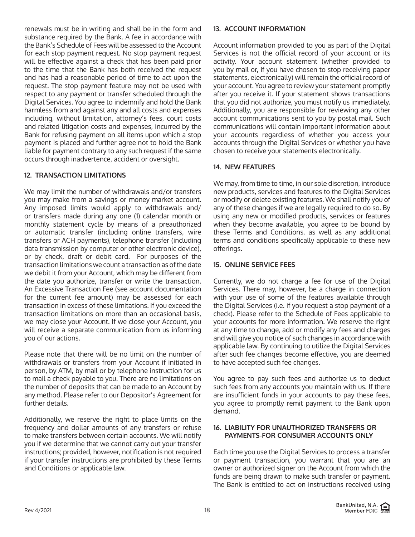renewals must be in writing and shall be in the form and substance required by the Bank. A fee in accordance with the Bank's Schedule of Fees will be assessed to the Account for each stop payment request. No stop payment request will be effective against a check that has been paid prior to the time that the Bank has both received the request and has had a reasonable period of time to act upon the request. The stop payment feature may not be used with respect to any payment or transfer scheduled through the Digital Services. You agree to indemnify and hold the Bank harmless from and against any and all costs and expenses including, without limitation, attorney's fees, court costs and related litigation costs and expenses, incurred by the Bank for refusing payment on all items upon which a stop payment is placed and further agree not to hold the Bank liable for payment contrary to any such request if the same occurs through inadvertence, accident or oversight.

# **12. TRANSACTION LIMITATIONS**

We may limit the number of withdrawals and/or transfers you may make from a savings or money market account. Any imposed limits would apply to withdrawals and/ or transfers made during any one (1) calendar month or monthly statement cycle by means of a preauthorized or automatic transfer (including online transfers, wire transfers or ACH payments), telephone transfer (including data transmission by computer or other electronic device), or by check, draft or debit card. For purposes of the transaction limitations we count a transaction as of the date we debit it from your Account, which may be different from the date you authorize, transfer or write the transaction. An Excessive Transaction Fee (see account documentation for the current fee amount) may be assessed for each transaction in excess of these limitations. If you exceed the transaction limitations on more than an occasional basis, we may close your Account. If we close your Account, you will receive a separate communication from us informing you of our actions.

Please note that there will be no limit on the number of withdrawals or transfers from your Account if initiated in person, by ATM, by mail or by telephone instruction for us to mail a check payable to you. There are no limitations on the number of deposits that can be made to an Account by any method. Please refer to our Depositor's Agreement for further details.

Additionally, we reserve the right to place limits on the frequency and dollar amounts of any transfers or refuse to make transfers between certain accounts. We will notify you if we determine that we cannot carry out your transfer instructions; provided, however, notification is not required if your transfer instructions are prohibited by these Terms and Conditions or applicable law.

#### **13. ACCOUNT INFORMATION**

Account information provided to you as part of the Digital Services is not the official record of your account or its activity. Your account statement (whether provided to you by mail or, if you have chosen to stop receiving paper statements, electronically) will remain the official record of your account. You agree to review your statement promptly after you receive it. If your statement shows transactions that you did not authorize, you must notify us immediately. Additionally, you are responsible for reviewing any other account communications sent to you by postal mail. Such communications will contain important information about your accounts regardless of whether you access your accounts through the Digital Services or whether you have chosen to receive your statements electronically.

## **14. NEW FEATURES**

We may, from time to time, in our sole discretion, introduce new products, services and features to the Digital Services or modify or delete existing features. We shall notify you of any of these changes if we are legally required to do so. By using any new or modified products, services or features when they become available, you agree to be bound by these Terms and Conditions, as well as any additional terms and conditions specifically applicable to these new offerings.

### **15. ONLINE SERVICE FEES**

Currently, we do not charge a fee for use of the Digital Services. There may, however, be a charge in connection with your use of some of the features available through the Digital Services (i.e. if you request a stop payment of a check). Please refer to the Schedule of Fees applicable to your accounts for more information. We reserve the right at any time to change, add or modify any fees and charges and will give you notice of such changes in accordance with applicable law. By continuing to utilize the Digital Services after such fee changes become effective, you are deemed to have accepted such fee changes.

You agree to pay such fees and authorize us to deduct such fees from any accounts you maintain with us. If there are insufficient funds in your accounts to pay these fees, you agree to promptly remit payment to the Bank upon demand.

### **16. LIABILITY FOR UNAUTHORIZED TRANSFERS OR PAYMENTS-FOR CONSUMER ACCOUNTS ONLY**

Each time you use the Digital Services to process a transfer or payment transaction, you warrant that you are an owner or authorized signer on the Account from which the funds are being drawn to make such transfer or payment. The Bank is entitled to act on instructions received using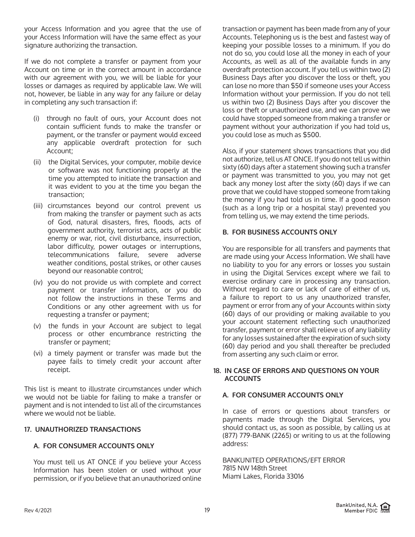your Access Information and you agree that the use of your Access Information will have the same effect as your signature authorizing the transaction.

If we do not complete a transfer or payment from your Account on time or in the correct amount in accordance with our agreement with you, we will be liable for your losses or damages as required by applicable law. We will not, however, be liable in any way for any failure or delay in completing any such transaction if:

- (i) through no fault of ours, your Account does not contain sufficient funds to make the transfer or payment, or the transfer or payment would exceed any applicable overdraft protection for such Account;
- (ii) the Digital Services, your computer, mobile device or software was not functioning properly at the time you attempted to initiate the transaction and it was evident to you at the time you began the transaction;
- (iii) circumstances beyond our control prevent us from making the transfer or payment such as acts of God, natural disasters, fires, floods, acts of government authority, terrorist acts, acts of public enemy or war, riot, civil disturbance, insurrection, labor difficulty, power outages or interruptions, telecommunications failure, severe adverse weather conditions, postal strikes, or other causes beyond our reasonable control;
- (iv) you do not provide us with complete and correct payment or transfer information, or you do not follow the instructions in these Terms and Conditions or any other agreement with us for requesting a transfer or payment;
- (v) the funds in your Account are subject to legal process or other encumbrance restricting the transfer or payment;
- (vi) a timely payment or transfer was made but the payee fails to timely credit your account after receipt.

This list is meant to illustrate circumstances under which we would not be liable for failing to make a transfer or payment and is not intended to list all of the circumstances where we would not be liable.

# **17. UNAUTHORIZED TRANSACTIONS**

# **A. FOR CONSUMER ACCOUNTS ONLY**

You must tell us AT ONCE if you believe your Access Information has been stolen or used without your permission, or if you believe that an unauthorized online

transaction or payment has been made from any of your Accounts. Telephoning us is the best and fastest way of keeping your possible losses to a minimum. If you do not do so, you could lose all the money in each of your Accounts, as well as all of the available funds in any overdraft protection account. If you tell us within two (2) Business Days after you discover the loss or theft, you can lose no more than \$50 if someone uses your Access Information without your permission. If you do not tell us within two (2) Business Days after you discover the loss or theft or unauthorized use, and we can prove we could have stopped someone from making a transfer or payment without your authorization if you had told us, you could lose as much as \$500.

Also, if your statement shows transactions that you did not authorize, tell us AT ONCE. If you do not tell us within sixty (60) days after a statement showing such a transfer or payment was transmitted to you, you may not get back any money lost after the sixty (60) days if we can prove that we could have stopped someone from taking the money if you had told us in time. If a good reason (such as a long trip or a hospital stay) prevented you from telling us, we may extend the time periods.

## **B. FOR BUSINESS ACCOUNTS ONLY**

You are responsible for all transfers and payments that are made using your Access Information. We shall have no liability to you for any errors or losses you sustain in using the Digital Services except where we fail to exercise ordinary care in processing any transaction. Without regard to care or lack of care of either of us, a failure to report to us any unauthorized transfer, payment or error from any of your Accounts within sixty (60) days of our providing or making available to you your account statement reflecting such unauthorized transfer, payment or error shall relieve us of any liability for any losses sustained after the expiration of such sixty (60) day period and you shall thereafter be precluded from asserting any such claim or error.

### **18. IN CASE OF ERRORS AND QUESTIONS ON YOUR ACCOUNTS**

# **A. FOR CONSUMER ACCOUNTS ONLY**

In case of errors or questions about transfers or payments made through the Digital Services, you should contact us, as soon as possible, by calling us at (877) 779-BANK (2265) or writing to us at the following address:

BANKUNITED OPERATIONS/EFT ERROR 7815 NW 148th Street Miami Lakes, Florida 33016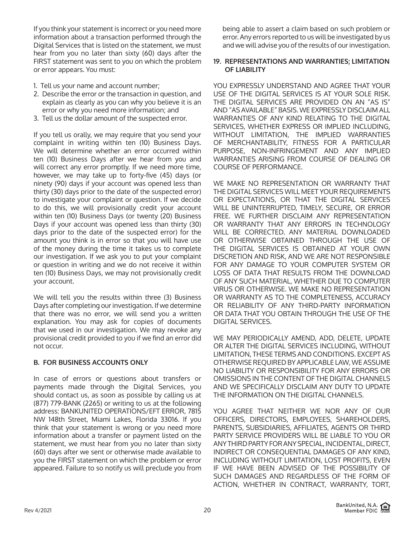If you think your statement is incorrect or you need more information about a transaction performed through the Digital Services that is listed on the statement, we must hear from you no later than sixty (60) days after the FIRST statement was sent to you on which the problem or error appears. You must:

- 1. Tell us your name and account number;
- 2. Describe the error or the transaction in question, and explain as clearly as you can why you believe it is an error or why you need more information; and
- 3. Tell us the dollar amount of the suspected error.

If you tell us orally, we may require that you send your complaint in writing within ten (10) Business Days. We will determine whether an error occurred within ten (10) Business Days after we hear from you and will correct any error promptly. If we need more time, however, we may take up to forty-five (45) days (or ninety (90) days if your account was opened less than thirty (30) days prior to the date of the suspected error) to investigate your complaint or question. If we decide to do this, we will provisionally credit your account within ten (10) Business Days (or twenty (20) Business Days if your account was opened less than thirty (30) days prior to the date of the suspected error) for the amount you think is in error so that you will have use of the money during the time it takes us to complete our investigation. If we ask you to put your complaint or question in writing and we do not receive it within ten (10) Business Days, we may not provisionally credit your account.

We will tell you the results within three (3) Business Days after completing our investigation. If we determine that there was no error, we will send you a written explanation. You may ask for copies of documents that we used in our investigation. We may revoke any provisional credit provided to you if we find an error did not occur.

# **B. FOR BUSINESS ACCOUNTS ONLY**

In case of errors or questions about transfers or payments made through the Digital Services, you should contact us, as soon as possible by calling us at (877) 779-BANK (2265) or writing to us at the following address: BANKUNITED OPERATIONS/EFT ERROR, 7815 NW 148th Street, Miami Lakes, Florida 33016. If you think that your statement is wrong or you need more information about a transfer or payment listed on the statement, we must hear from you no later than sixty (60) days after we sent or otherwise made available to you the FIRST statement on which the problem or error appeared. Failure to so notify us will preclude you from being able to assert a claim based on such problem or error. Any errors reported to us will be investigated by us and we will advise you of the results of our investigation.

# **19. REPRESENTATIONS AND WARRANTIES; LIMITATION OF LIABILITY**

YOU EXPRESSLY UNDERSTAND AND AGREE THAT YOUR USE OF THE DIGITAL SERVICES IS AT YOUR SOLE RISK. THE DIGITAL SERVICES ARE PROVIDED ON AN "AS IS" AND "AS AVAILABLE" BASIS. WE EXPRESSLY DISCLAIM ALL WARRANTIES OF ANY KIND RELATING TO THE DIGITAL SERVICES, WHETHER EXPRESS OR IMPLIED INCLUDING, WITHOUT LIMITATION, THE IMPLIED WARRANTIES OF MERCHANTABILITY, FITNESS FOR A PARTICULAR PURPOSE, NON-INFRINGEMENT AND ANY IMPLIED WARRANTIES ARISING FROM COURSE OF DEALING OR COURSE OF PERFORMANCE.

WE MAKE NO REPRESENTATION OR WARRANTY THAT THE DIGITAL SERVICES WILL MEET YOUR REQUIREMENTS OR EXPECTATIONS, OR THAT THE DIGITAL SERVICES WILL BE UNINTERRUPTED, TIMELY, SECURE, OR ERROR FREE. WE FURTHER DISCLAIM ANY REPRESENTATION OR WARRANTY THAT ANY ERRORS IN TECHNOLOGY WILL BE CORRECTED. ANY MATERIAL DOWNLOADED OR OTHERWISE OBTAINED THROUGH THE USE OF THE DIGITAL SERVICES IS OBTAINED AT YOUR OWN DISCRETION AND RISK, AND WE ARE NOT RESPONSIBLE FOR ANY DAMAGE TO YOUR COMPUTER SYSTEM OR LOSS OF DATA THAT RESULTS FROM THE DOWNLOAD OF ANY SUCH MATERIAL, WHETHER DUE TO COMPUTER VIRUS OR OTHERWISE. WE MAKE NO REPRESENTATION OR WARRANTY AS TO THE COMPLETENESS, ACCURACY OR RELIABILITY OF ANY THIRD-PARTY INFORMATION OR DATA THAT YOU OBTAIN THROUGH THE USE OF THE DIGITAL SERVICES.

WE MAY PERIODICALLY AMEND, ADD, DELETE, UPDATE OR ALTER THE DIGITAL SERVICES INCLUDING, WITHOUT LIMITATION, THESE TERMS AND CONDITIONS. EXCEPT AS OTHERWISE REQUIRED BY APPLICABLE LAW, WE ASSUME NO LIABILITY OR RESPONSIBILITY FOR ANY ERRORS OR OMISSIONS IN THE CONTENT OF THE DIGITAL CHANNELS AND WE SPECIFICALLY DISCLAIM ANY DUTY TO UPDATE THE INFORMATION ON THE DIGITAL CHANNELS.

YOU AGREE THAT NEITHER WE NOR ANY OF OUR OFFICERS, DIRECTORS, EMPLOYEES, SHAREHOLDERS, PARENTS, SUBSIDIARIES, AFFILIATES, AGENTS OR THIRD PARTY SERVICE PROVIDERS WILL BE LIABLE TO YOU OR ANY THIRD PARTY FOR ANY SPECIAL, INCIDENTAL, DIRECT, INDIRECT OR CONSEQUENTIAL DAMAGES OF ANY KIND, INCLUDING WITHOUT LIMITATION, LOST PROFITS, EVEN IF WE HAVE BEEN ADVISED OF THE POSSIBILITY OF SUCH DAMAGES AND REGARDLESS OF THE FORM OF ACTION, WHETHER IN CONTRACT, WARRANTY, TORT,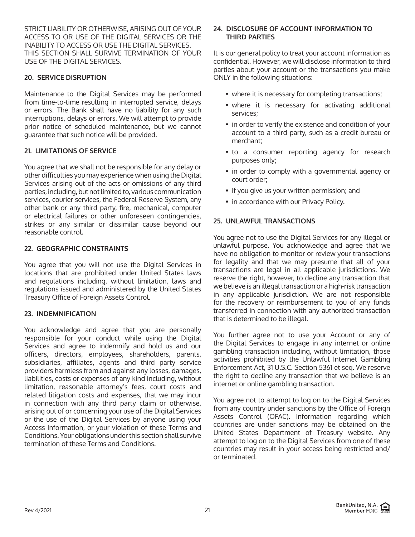STRICT LIABILITY OR OTHERWISE, ARISING OUT OF YOUR ACCESS TO OR USE OF THE DIGITAL SERVICES OR THE INABILITY TO ACCESS OR USE THE DIGITAL SERVICES. THIS SECTION SHALL SURVIVE TERMINATION OF YOUR USE OF THE DIGITAL SERVICES.

## **20. SERVICE DISRUPTION**

Maintenance to the Digital Services may be performed from time-to-time resulting in interrupted service, delays or errors. The Bank shall have no liability for any such interruptions, delays or errors. We will attempt to provide prior notice of scheduled maintenance, but we cannot guarantee that such notice will be provided.

## **21. LIMITATIONS OF SERVICE**

You agree that we shall not be responsible for any delay or other difficulties you may experience when using the Digital Services arising out of the acts or omissions of any third parties, including, but not limited to, various communication services, courier services, the Federal Reserve System, any other bank or any third party, fire, mechanical, computer or electrical failures or other unforeseen contingencies, strikes or any similar or dissimilar cause beyond our reasonable control.

#### **22. GEOGRAPHIC CONSTRAINTS**

You agree that you will not use the Digital Services in locations that are prohibited under United States laws and regulations including, without limitation, laws and regulations issued and administered by the United States Treasury Office of Foreign Assets Control.

### **23. INDEMNIFICATION**

You acknowledge and agree that you are personally responsible for your conduct while using the Digital Services and agree to indemnify and hold us and our officers, directors, employees, shareholders, parents, subsidiaries, affiliates, agents and third party service providers harmless from and against any losses, damages, liabilities, costs or expenses of any kind including, without limitation, reasonable attorney's fees, court costs and related litigation costs and expenses, that we may incur in connection with any third party claim or otherwise, arising out of or concerning your use of the Digital Services or the use of the Digital Services by anyone using your Access Information, or your violation of these Terms and Conditions. Your obligations under this section shall survive termination of these Terms and Conditions.

#### **24. DISCLOSURE OF ACCOUNT INFORMATION TO THIRD PARTIES**

It is our general policy to treat your account information as confidential. However, we will disclose information to third parties about your account or the transactions you make ONLY in the following situations:

- where it is necessary for completing transactions;
- where it is necessary for activating additional services;
- in order to verify the existence and condition of your account to a third party, such as a credit bureau or merchant;
- to a consumer reporting agency for research purposes only;
- in order to comply with a governmental agency or court order;
- if you give us your written permission; and
- in accordance with our Privacy Policy.

### **25. UNLAWFUL TRANSACTIONS**

You agree not to use the Digital Services for any illegal or unlawful purpose. You acknowledge and agree that we have no obligation to monitor or review your transactions for legality and that we may presume that all of your transactions are legal in all applicable jurisdictions. We reserve the right, however, to decline any transaction that we believe is an illegal transaction or a high-risk transaction in any applicable jurisdiction. We are not responsible for the recovery or reimbursement to you of any funds transferred in connection with any authorized transaction that is determined to be illegal.

You further agree not to use your Account or any of the Digital Services to engage in any internet or online gambling transaction including, without limitation, those activities prohibited by the Unlawful Internet Gambling Enforcement Act, 31 U.S.C. Section 5361 et seq. We reserve the right to decline any transaction that we believe is an internet or online gambling transaction.

You agree not to attempt to log on to the Digital Services from any country under sanctions by the Office of Foreign Assets Control (OFAC). Information regarding which countries are under sanctions may be obtained on the United States Department of Treasury website. Any attempt to log on to the Digital Services from one of these countries may result in your access being restricted and/ or terminated.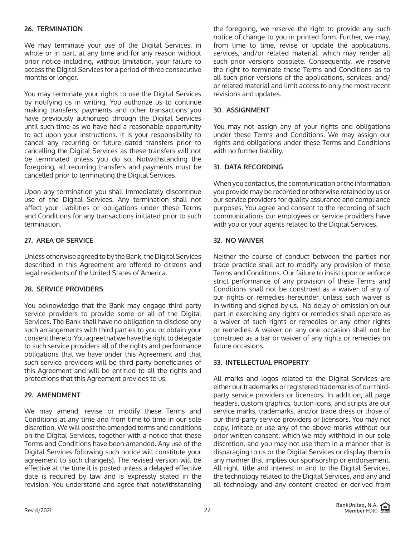### **26. TERMINATION**

We may terminate your use of the Digital Services, in whole or in part, at any time and for any reason without prior notice including, without limitation, your failure to access the Digital Services for a period of three consecutive months or longer.

You may terminate your rights to use the Digital Services by notifying us in writing. You authorize us to continue making transfers, payments and other transactions you have previously authorized through the Digital Services until such time as we have had a reasonable opportunity to act upon your instructions. It is your responsibility to cancel any recurring or future dated transfers prior to cancelling the Digital Services as these transfers will not be terminated unless you do so. Notwithstanding the foregoing, all recurring transfers and payments must be cancelled prior to terminating the Digital Services.

Upon any termination you shall immediately discontinue use of the Digital Services. Any termination shall not affect your liabilities or obligations under these Terms and Conditions for any transactions initiated prior to such termination.

## **27. AREA OF SERVICE**

Unless otherwise agreed to by the Bank, the Digital Services described in this Agreement are offered to citizens and legal residents of the United States of America.

### **28. SERVICE PROVIDERS**

You acknowledge that the Bank may engage third party service providers to provide some or all of the Digital Services. The Bank shall have no obligation to disclose any such arrangements with third parties to you or obtain your consent thereto. You agree that we have the right to delegate to such service providers all of the rights and performance obligations that we have under this Agreement and that such service providers will be third party beneficiaries of this Agreement and will be entitled to all the rights and protections that this Agreement provides to us.

#### **29. AMENDMENT**

We may amend, revise or modify these Terms and Conditions at any time and from time to time in our sole discretion. We will post the amended terms and conditions on the Digital Services, together with a notice that these Terms and Conditions have been amended. Any use of the Digital Services following such notice will constitute your agreement to such change(s). The revised version will be effective at the time it is posted unless a delayed effective date is required by law and is expressly stated in the revision. You understand and agree that notwithstanding

the foregoing, we reserve the right to provide any such notice of change to you in printed form. Further, we may, from time to time, revise or update the applications, services, and/or related material, which may render all such prior versions obsolete. Consequently, we reserve the right to terminate these Terms and Conditions as to all such prior versions of the applications, services, and/ or related material and limit access to only the most recent revisions and updates.

#### **30. ASSIGNMENT**

You may not assign any of your rights and obligations under these Terms and Conditions. We may assign our rights and obligations under these Terms and Conditions with no further liability.

#### **31. DATA RECORDING**

When you contact us, the communication or the information you provide may be recorded or otherwise retained by us or our service providers for quality assurance and compliance purposes. You agree and consent to the recording of such communications our employees or service providers have with you or your agents related to the Digital Services.

### **32. NO WAIVER**

Neither the course of conduct between the parties nor trade practice shall act to modify any provision of these Terms and Conditions. Our failure to insist upon or enforce strict performance of any provision of these Terms and Conditions shall not be construed as a waiver of any of our rights or remedies hereunder, unless such waiver is in writing and signed by us. No delay or omission on our part in exercising any rights or remedies shall operate as a waiver of such rights or remedies or any other rights or remedies. A waiver on any one occasion shall not be construed as a bar or waiver of any rights or remedies on future occasions.

### **33. INTELLECTUAL PROPERTY**

All marks and logos related to the Digital Services are either our trademarks or registered trademarks of our thirdparty service providers or licensors. In addition, all page headers, custom graphics, button icons, and scripts are our service marks, trademarks, and/or trade dress or those of our third-party service providers or licensors. You may not copy, imitate or use any of the above marks without our prior written consent, which we may withhold in our sole discretion, and you may not use them in a manner that is disparaging to us or the Digital Services or display them in any manner that implies our sponsorship or endorsement. All right, title and interest in and to the Digital Services, the technology related to the Digital Services, and any and all technology and any content created or derived from